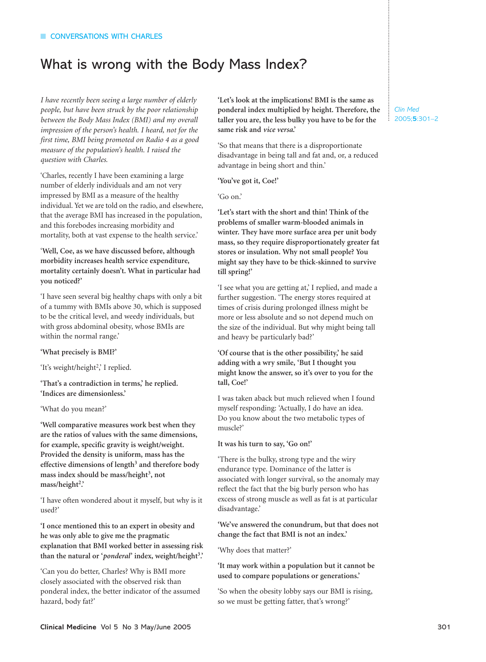## What is wrong with the Body Mass Index?

I have recently been seeing a large number of elderly people, but have been struck by the poor relationship between the Body Mass Index (BMI) and my overall impression of the person's health. I heard, not for the first time, BMI being promoted on Radio 4 as a good measure of the population's health. I raised the question with Charles.

'Charles, recently I have been examining a large number of elderly individuals and am not very impressed by BMI as a measure of the healthy individual. Yet we are told on the radio, and elsewhere, that the average BMI has increased in the population, and this forebodes increasing morbidity and mortality, both at vast expense to the health service.'

'Well, Coe, as we have discussed before, although morbidity increases health service expenditure, mortality certainly doesn't. What in particular had vou noticed?'

'I have seen several big healthy chaps with only a bit of a tummy with BMIs above 30, which is supposed to be the critical level, and weedy individuals, but with gross abdominal obesity, whose BMIs are within the normal range.'

'What precisely is BMI?'

'It's weight/height<sup>2</sup>,' I replied.

'That's a contradiction in terms,' he replied. 'Indices are dimensionless.'

'What do you mean?'

'Well comparative measures work best when they are the ratios of values with the same dimensions, for example, specific gravity is weight/weight. Provided the density is uniform, mass has the effective dimensions of length<sup>3</sup> and therefore body mass index should be mass/height<sup>3</sup>, not mass/height<sup>2</sup>.

'I have often wondered about it myself, but why is it used?'

'I once mentioned this to an expert in obesity and he was only able to give me the pragmatic explanation that BMI worked better in assessing risk than the natural or 'ponderal' index, weight/height<sup>3</sup>.'

'Can you do better, Charles? Why is BMI more closely associated with the observed risk than ponderal index, the better indicator of the assumed hazard, body fat?'

'Let's look at the implications! BMI is the same as ponderal index multiplied by height. Therefore, the taller you are, the less bulky you have to be for the same risk and vice versa.

'So that means that there is a disproportionate disadvantage in being tall and fat and, or, a reduced advantage in being short and thin.'

'You've got it, Coe!'

 $'$ Go on.'

'Let's start with the short and thin! Think of the problems of smaller warm-blooded animals in winter. They have more surface area per unit body mass, so they require disproportionately greater fat stores or insulation. Why not small people? You might say they have to be thick-skinned to survive till spring!'

'I see what you are getting at,' I replied, and made a further suggestion. 'The energy stores required at times of crisis during prolonged illness might be more or less absolute and so not depend much on the size of the individual. But why might being tall and heavy be particularly bad?'

'Of course that is the other possibility,' he said adding with a wry smile, 'But I thought you might know the answer, so it's over to you for the tall, Coe!'

I was taken aback but much relieved when I found myself responding: 'Actually, I do have an idea. Do you know about the two metabolic types of muscle?'

It was his turn to say, 'Go on!'

'There is the bulky, strong type and the wiry endurance type. Dominance of the latter is associated with longer survival, so the anomaly may reflect the fact that the big burly person who has excess of strong muscle as well as fat is at particular disadvantage.'

'We've answered the conundrum, but that does not change the fact that BMI is not an index.'

'Why does that matter?'

'It may work within a population but it cannot be used to compare populations or generations.

'So when the obesity lobby says our BMI is rising, so we must be getting fatter, that's wrong?'

Clin Med  $2005;5:301-2$